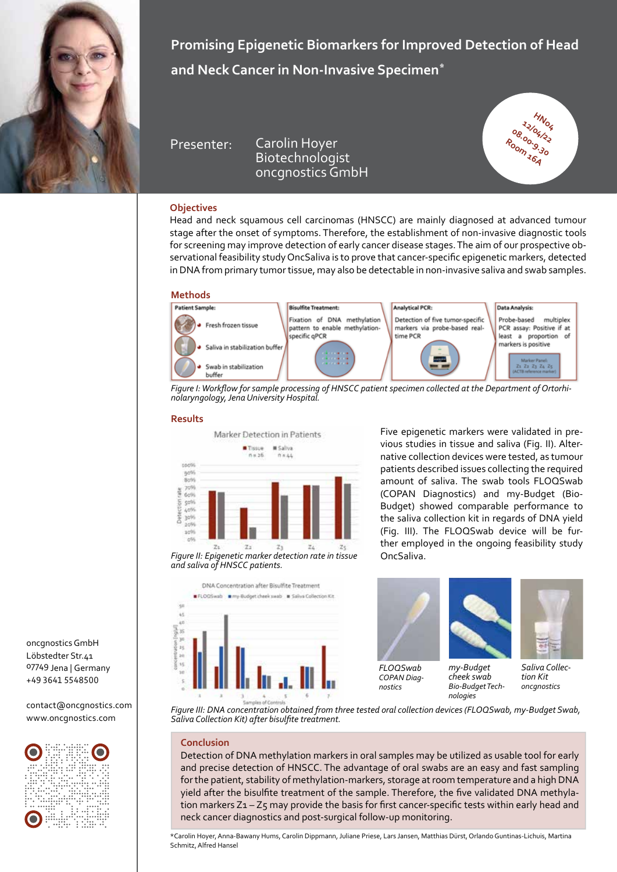

**Promising Epigenetic Biomarkers for Improved Detection of Head and Neck Cancer in Non-Invasive Specimen\***

Presenter: Carolin Hoyer **Biotechnologist** oncgnostics GmbH



## **Objectives**

Head and neck squamous cell carcinomas (HNSCC) are mainly diagnosed at advanced tumour stage after the onset of symptoms. Therefore, the establishment of non-invasive diagnostic tools for screening may improve detection of early cancer disease stages. The aim of our prospective observational feasibility study OncSaliva is to prove that cancer-specific epigenetic markers, detected in DNA from primary tumor tissue, may also be detectable in non-invasive saliva and swab samples.



*Figure I: Workflow for sample processing of HNSCC patient specimen collected at the Department of Ortorhinolaryngology, Jena University Hospital.*

## **Results**



Five epigenetic markers were validated in previous studies in tissue and saliva (Fig. II). Alternative collection devices were tested, as tumour patients described issues collecting the required amount of saliva. The swab tools FLOQSwab (COPAN Diagnostics) and my-Budget (Bio-Budget) showed comparable performance to the saliva collection kit in regards of DNA yield (Fig. III). The FLOQSwab device will be further employed in the ongoing feasibility study



*and saliva of HNSCC patients.* 

*FLOQSwab COPAN Diagnostics*



*cheek swab Bio-Budget Technologies*



*Saliva Collection Kit oncgnostics*

oncgnostics GmbH Löbstedter Str.41 07749 Jena | Germany +49 3641 5548500

contact@oncgnostics.com www.oncgnostics.com



*Figure III: DNA concentration obtained from three tested oral collection devices (FLOQSwab, my-Budget Swab, Saliva Collection Kit) after bisulfite treatment.*

## **Conclusion**

Detection of DNA methylation markers in oral samples may be utilized as usable tool for early and precise detection of HNSCC. The advantage of oral swabs are an easy and fast sampling for the patient, stability of methylation-markers, storage at room temperature and a high DNA yield after the bisulfite treatment of the sample. Therefore, the five validated DNA methylation markers Z1 - Z5 may provide the basis for first cancer-specific tests within early head and neck cancer diagnostics and post-surgical follow-up monitoring.

\*Carolin Hoyer, Anna-Bawany Hums, Carolin Dippmann, Juliane Priese, Lars Jansen, Matthias Dürst, Orlando Guntinas-Lichuis, Martina Schmitz, Alfred Hansel